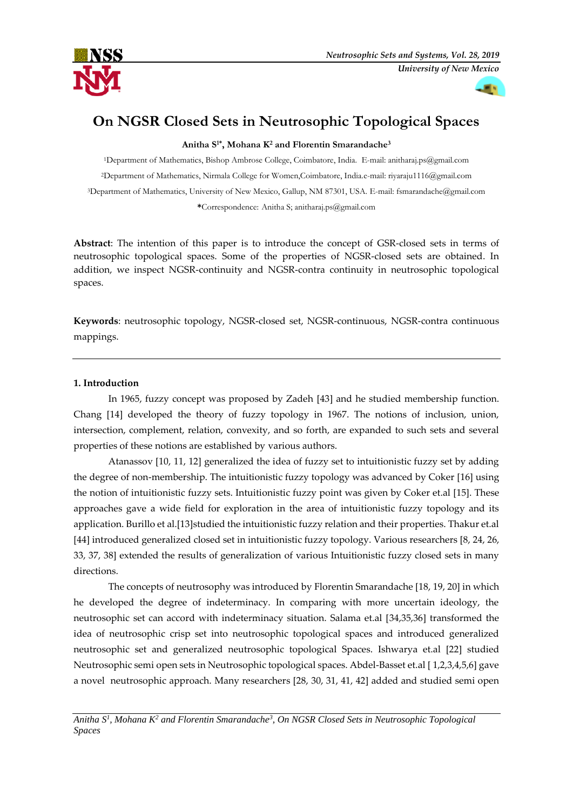

# **On NGSR Closed Sets in Neutrosophic Topological Spaces**

**Anitha S1\* , Mohana K<sup>2</sup> and Florentin Smarandache<sup>3</sup>**

Department of Mathematics, Bishop Ambrose College, Coimbatore, India. E-mail: anitharaj.ps@gmail.com Department of Mathematics, Nirmala College for Women,Coimbatore, India.e-mail: riyaraju1116@gmail.com Department of Mathematics, University of New Mexico, Gallup, NM 87301, USA. E-mail: fsmarandache@gmail.com **\***Correspondence: Anitha S; anitharaj.ps@gmail.com

**Abstract**: The intention of this paper is to introduce the concept of GSR-closed sets in terms of neutrosophic topological spaces. Some of the properties of NGSR-closed sets are obtained. In addition, we inspect NGSR-continuity and NGSR-contra continuity in neutrosophic topological spaces.

**Keywords**: neutrosophic topology, NGSR-closed set, NGSR-continuous, NGSR-contra continuous mappings.

#### **1. Introduction**

In 1965, fuzzy concept was proposed by Zadeh [43] and he studied membership function. Chang [14] developed the theory of fuzzy topology in 1967. The notions of inclusion, union, intersection, complement, relation, convexity, and so forth, are expanded to such sets and several properties of these notions are established by various authors.

Atanassov [10, 11, 12] generalized the idea of fuzzy set to intuitionistic fuzzy set by adding the degree of non-membership. The intuitionistic fuzzy topology was advanced by Coker [16] using the notion of intuitionistic fuzzy sets. Intuitionistic fuzzy point was given by Coker et.al [15]. These approaches gave a wide field for exploration in the area of intuitionistic fuzzy topology and its application. Burillo et al.[13]studied the intuitionistic fuzzy relation and their properties. Thakur et.al [44] introduced generalized closed set in intuitionistic fuzzy topology. Various researchers [8, 24, 26, 33, 37, 38] extended the results of generalization of various Intuitionistic fuzzy closed sets in many directions.

The concepts of neutrosophy was introduced by Florentin Smarandache [18, 19, 20] in which he developed the degree of indeterminacy. In comparing with more uncertain ideology, the neutrosophic set can accord with indeterminacy situation. Salama et.al [34,35,36] transformed the idea of neutrosophic crisp set into neutrosophic topological spaces and introduced generalized neutrosophic set and generalized neutrosophic topological Spaces. Ishwarya et.al [22] studied Neutrosophic semi open sets in Neutrosophic topological spaces. Abdel-Basset et.al [ 1,2,3,4,5,6] gave a novel neutrosophic approach. Many researchers [28, 30, 31, 41, 42] added and studied semi open

*Anitha S<sup>1</sup> , Mohana K<sup>2</sup> and Florentin Smarandache<sup>3</sup> , On NGSR Closed Sets in Neutrosophic Topological Spaces*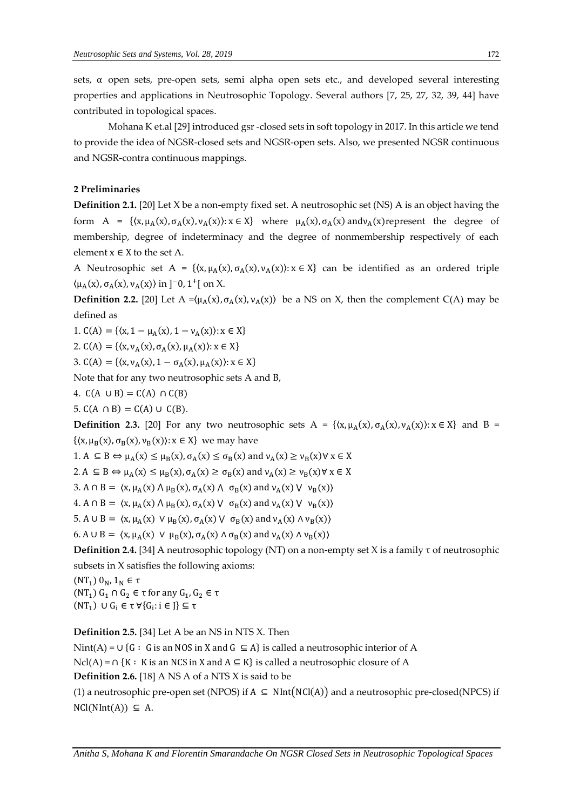sets,  $\alpha$  open sets, pre-open sets, semi alpha open sets etc., and developed several interesting properties and applications in Neutrosophic Topology. Several authors [7, 25, 27, 32, 39, 44] have contributed in topological spaces.

Mohana K et.al [29] introduced gsr -closed sets in soft topology in 2017. In this article we tend to provide the idea of NGSR-closed sets and NGSR-open sets. Also, we presented NGSR continuous and NGSR-contra continuous mappings.

# **2 Preliminaries**

**Definition 2.1.** [20] Let X be a non-empty fixed set. A neutrosophic set (NS) A is an object having the form A = { $(x, \mu_A(x), \sigma_A(x), \nu_A(x))$ :  $x \in X$ } where  $\mu_A(x), \sigma_A(x)$  and  $\nu_A(x)$  represent the degree of membership, degree of indeterminacy and the degree of nonmembership respectively of each element  $x \in X$  to the set A.

A Neutrosophic set A = { $(x, \mu_A(x), \sigma_A(x), \nu_A(x))$ :  $x \in X$ } can be identified as an ordered triple  $\langle \mu_A(x), \sigma_A(x), \nu_A(x) \rangle$  in ]<sup>-</sup>0, 1<sup>+</sup>[ on X.

**Definition 2.2.** [20] Let  $A = (\mu_A(x), \sigma_A(x), \nu_A(x))$  be a NS on X, then the complement C(A) may be defined as

1.  $C(A) = \{(x, 1 - \mu_A(x), 1 - \nu_A(x)) : x \in X\}$ 

2.  $C(A) = \{(x, v_A(x), \sigma_A(x), \mu_A(x)) : x \in X\}$ 

3.  $C(A) = \{(x, v_A(x), 1 - \sigma_A(x), \mu_A(x)) : x \in X\}$ 

Note that for any two neutrosophic sets A and B,

4.  $C(A \cup B) = C(A) \cap C(B)$ 

5.  $C(A \cap B) = C(A) \cup C(B)$ .

**Definition 2.3.** [20] For any two neutrosophic sets A = { $(x, \mu_A(x), \sigma_A(x), \nu_A(x))$ :  $x \in X$ } and B =  $\{\langle x,\mu_B(x),\sigma_B(x),v_B(x)\rangle: x\in X\}$  we may have

1.  $A \subseteq B \Leftrightarrow \mu_A(x) \le \mu_B(x), \sigma_A(x) \le \sigma_B(x)$  and  $v_A(x) \ge v_B(x) \forall x \in X$ 

2.  $A \subseteq B \Leftrightarrow \mu_A(x) \le \mu_B(x), \sigma_A(x) \ge \sigma_B(x)$  and  $v_A(x) \ge v_B(x) \forall x \in X$ 

3. A  $\cap$  B =  $\langle x, \mu_A(x) \land \mu_B(x), \sigma_A(x) \land \sigma_B(x) \rangle$  and  $\nu_A(x) \lor \nu_B(x)$ 

4. A  $\cap$  B =  $\langle x, \mu_A(x) \land \mu_B(x), \sigma_A(x) \lor \sigma_B(x) \rangle$  and  $v_A(x) \lor v_B(x)$ 

5. A  $\cup$  B =  $\langle x, \mu_A(x) \lor \mu_B(x), \sigma_A(x) \lor \sigma_B(x) \rangle$  and  $\nu_A(x) \land \nu_B(x)$ 

6. A  $\cup$  B =  $\langle x, \mu_A(x) \lor \mu_B(x), \sigma_A(x) \land \sigma_B(x) \rangle$  and  $v_A(x) \land v_B(x)$ 

**Definition 2.4.** [34] A neutrosophic topology (NT) on a non-empty set X is a family  $\tau$  of neutrosophic subsets in X satisfies the following axioms:

(NT<sub>1</sub>)  $0_N$ , 1<sub>N</sub> ∈ τ  $(NT_1) G_1 ∩ G_2 ∈ τ for any G_1, G_2 ∈ τ$  $(NT_1)$  ∪  $G_i$  ∈ τ  $\forall$ { $G_i$ : i ∈ J} ⊆ τ

**Definition 2.5.** [34] Let A be an NS in NTS X. Then

Nint(A) = ∪ {G : G is an NOS in X and G  $\subseteq$  A} is called a neutrosophic interior of A  $Ncl(A) = \bigcap \{K : K \text{ is an NCS in } X \text{ and } A \subseteq K\}$  is called a neutrosophic closure of A **Definition 2.6.** [18] A NS A of a NTS X is said to be

(1) a neutrosophic pre-open set (NPOS) if  $A \subseteq NInt(NCl(A))$  and a neutrosophic pre-closed(NPCS) if  $NCl(NInt(A)) \subseteq A$ .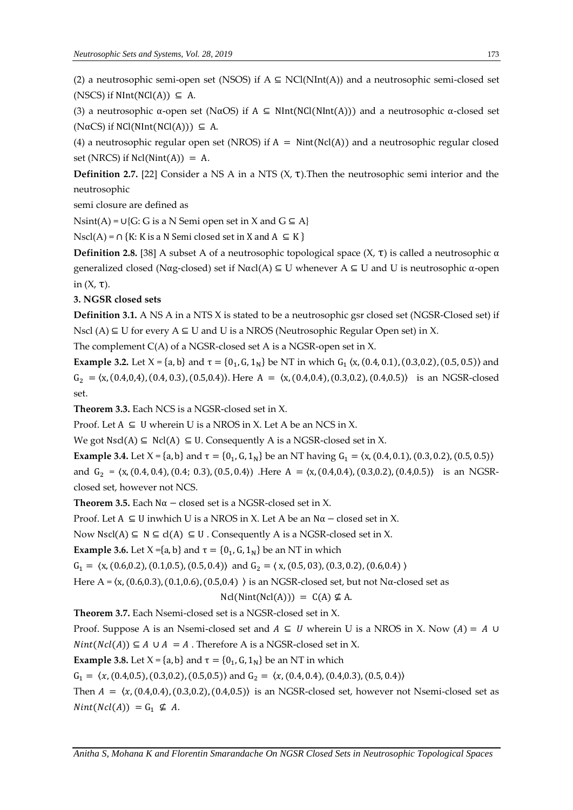(2) a neutrosophic semi-open set (NSOS) if  $A \subseteq NCI(NInt(A))$  and a neutrosophic semi-closed set (NSCS) if  $NInt(NCl(A)) \subseteq A$ .

(3) a neutrosophic  $\alpha$ -open set (N $\alpha$ OS) if A  $\subseteq$  NInt(NCl(NInt(A))) and a neutrosophic  $\alpha$ -closed set  $(N\alpha CS)$  if NCl(NInt(NCl(A)))  $\subseteq$  A.

(4) a neutrosophic regular open set (NROS) if  $A = Nint(NcI(A))$  and a neutrosophic regular closed set (NRCS) if  $Ncl(Nint(A)) = A$ .

**Definition 2.7.** [22] Consider a NS A in a NTS (X, τ).Then the neutrosophic semi interior and the neutrosophic

semi closure are defined as

Nsint(A) = ∪{G: G is a N Semi open set in X and G  $\subseteq$  A}

Nscl(A) = ∩ {K: K is a N Semi closed set in X and A  $\subseteq$  K }

**Definition 2.8.** [38] A subset A of a neutrosophic topological space  $(X, τ)$  is called a neutrosophic  $α$ generalized closed (Nαg-closed) set if Nαcl(A)  $\subseteq$  U whenever A  $\subseteq$  U and U is neutrosophic α-open in  $(X, \tau)$ .

# **3. NGSR closed sets**

**Definition 3.1.** A NS A in a NTS X is stated to be a neutrosophic gsr closed set (NGSR-Closed set) if Nscl (A) ⊆ U for every  $A ⊆ U$  and U is a NROS (Neutrosophic Regular Open set) in X.

The complement C(A) of a NGSR-closed set A is a NGSR-open set in X.

**Example 3.2.** Let  $X = \{a, b\}$  and  $\tau = \{0_1, G, 1_N\}$  be NT in which  $G_1$  (x, (0.4, 0.1), (0.3,0.2), (0.5, 0.5)) and  $G_2 = \langle x, (0.4, 0.4), (0.4, 0.3), (0.5, 0.4) \rangle$ . Here  $A = \langle x, (0.4, 0.4), (0.3, 0.2), (0.4, 0.5) \rangle$  is an NGSR-closed set.

**Theorem 3.3.** Each NCS is a NGSR-closed set in X.

Proof. Let  $A \subseteq U$  wherein U is a NROS in X. Let A be an NCS in X.

We got  $Nscl(A) \subseteq Ncl(A) \subseteq U$ . Consequently A is a NGSR-closed set in X.

**Example 3.4.** Let X = {a, b} and  $\tau$  = {0<sub>1</sub>, G, 1<sub>N</sub>} be an NT having G<sub>1</sub> = (x, (0.4, 0.1), (0.3, 0.2), (0.5, 0.5)) and  $G_2 = \langle x, (0.4, 0.4), (0.4, 0.3), (0.5, 0.4) \rangle$ . Here  $A = \langle x, (0.4, 0.4), (0.3, 0.2), (0.4, 0.5) \rangle$  is an NGSRclosed set, however not NCS.

**Theorem 3.5.** Each  $N\alpha$  – closed set is a NGSR-closed set in X.

Proof. Let A ⊆ U inwhich U is a NROS in X. Let A be an  $N\alpha$  – closed set in X.

Now  $Nscl(A) \subseteq N \subseteq cl(A) \subseteq U$ . Consequently A is a NGSR-closed set in X.

**Example 3.6.** Let  $X = \{a, b\}$  and  $\tau = \{0_1, G, 1_N\}$  be an NT in which

 $G_1 = \langle x, (0.6, 0.2), (0.1, 0.5), (0.5, 0.4) \rangle$  and  $G_2 = \langle x, (0.5, 0.3), (0.3, 0.2), (0.6, 0.4) \rangle$ 

Here A =  $(x, (0.6, 0.3), (0.1, 0.6), (0.5, 0.4)$   $\rangle$  is an NGSR-closed set, but not N $\alpha$ -closed set as

$$
Ncl(Nint(Ncl(A))) = C(A) \nsubseteq A.
$$

**Theorem 3.7.** Each Nsemi-closed set is a NGSR-closed set in X.

Proof. Suppose A is an Nsemi-closed set and  $A \subseteq U$  wherein U is a NROS in X. Now  $(A) = A \cup$  $Nint(Ncl(A)) \subseteq A \cup A = A$ . Therefore A is a NGSR-closed set in X.

**Example 3.8.** Let  $X = \{a, b\}$  and  $\tau = \{0_1, G, 1_N\}$  be an NT in which

 $G_1 = \langle x, (0.4, 0.5), (0.3, 0.2), (0.5, 0.5) \rangle$  and  $G_2 = \langle x, (0.4, 0.4), (0.4, 0.3), (0.5, 0.4) \rangle$ 

Then  $A = \langle x, (0.4, 0.4), (0.3, 0.2), (0.4, 0.5) \rangle$  is an NGSR-closed set, however not Nsemi-closed set as  $Nint(Ncl(A)) = G_1 \nsubseteq A$ .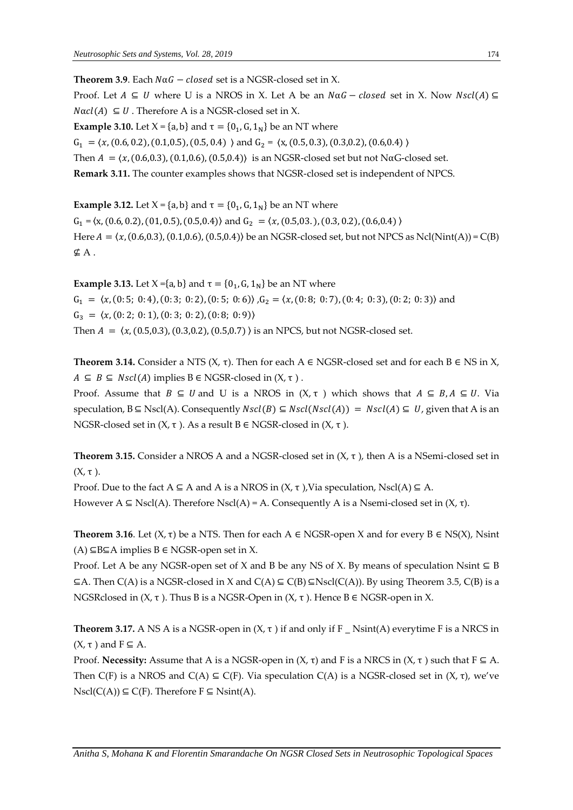**Theorem 3.9**. Each  $N \alpha G - closed$  set is a NGSR-closed set in X.

Proof. Let  $A \subseteq U$  where U is a NROS in X. Let A be an  $N \alpha G - closed$  set in X. Now  $N \text{ } sl(A) \subseteq$  $N\alpha c l(A) \subseteq U$ . Therefore A is a NGSR-closed set in X.

**Example 3.10.** Let  $X = \{a, b\}$  and  $\tau = \{0_1, G, 1_N\}$  be an NT where

 $G_1 = \langle x, (0.6, 0.2), (0.1, 0.5), (0.5, 0.4) \rangle$  and  $G_2 = \langle x, (0.5, 0.3), (0.3, 0.2), (0.6, 0.4) \rangle$ 

Then  $A = \langle x, (0.6, 0.3), (0.1, 0.6), (0.5, 0.4) \rangle$  is an NGSR-closed set but not NαG-closed set.

**Remark 3.11.** The counter examples shows that NGSR-closed set is independent of NPCS.

**Example 3.12.** Let  $X = \{a, b\}$  and  $\tau = \{0_1, G, 1_N\}$  be an NT where  $G_1 = \langle x, (0.6, 0.2), (0.1, 0.5), (0.5, 0.4) \rangle$  and  $G_2 = \langle x, (0.5, 0.3, 0.2), (0.5, 0.4) \rangle$ Here  $A = \langle x, (0.6, 0.3), (0.1, 0.6), (0.5, 0.4) \rangle$  be an NGSR-closed set, but not NPCS as Ncl(Nint(A)) = C(B) ⊈ A .

**Example 3.13.** Let  $X = \{a, b\}$  and  $\tau = \{0_1, G, 1_N\}$  be an NT where  $G_1 = \langle x, (0.5, 0.4), (0.3, 0.2), (0.5, 0.6), (0.2, 0.7), (0.4, 0.3), (0.2, 0.3) \rangle$  and  $G_3 = \langle x, (0:2; 0:1), (0:3; 0:2), (0:8; 0:9) \rangle$ Then  $A = \langle x, (0.5, 0.3), (0.3, 0.2), (0.5, 0.7) \rangle$  is an NPCS, but not NGSR-closed set.

**Theorem 3.14.** Consider a NTS  $(X, \tau)$ . Then for each A  $\in$  NGSR-closed set and for each B  $\in$  NS in X,  $A \subseteq B \subseteq Nscl(A)$  implies  $B \in NGSR$ -closed in  $(X, \tau)$ .

Proof. Assume that  $B \subseteq U$  and U is a NROS in  $(X, \tau)$  which shows that  $A \subseteq B, A \subseteq U$ . Via speculation,  $B \subseteq Nscl(A)$ . Consequently  $Nscl(B) \subseteq Nscl(Nscl(A)) = Nscl(A) \subseteq U$ , given that A is an NGSR-closed set in  $(X, τ)$ . As a result  $B ∈ NGSR$ -closed in  $(X, τ)$ .

**Theorem 3.15.** Consider a NROS A and a NGSR-closed set in  $(X, \tau)$ , then A is a NSemi-closed set in  $(X, \tau)$ .

Proof. Due to the fact  $A \subseteq A$  and A is a NROS in  $(X, \tau)$ , Via speculation, Nscl(A)  $\subseteq A$ . However A ⊆ Nscl(A). Therefore Nscl(A) = A. Consequently A is a Nsemi-closed set in  $(X, τ)$ .

**Theorem 3.16**. Let  $(X, \tau)$  be a NTS. Then for each A  $\in$  NGSR-open X and for every B  $\in$  NS(X), Nsint  $(A) ⊆ B ⊆ A$  implies  $B ∈ NGSR$ -open set in X.

Proof. Let A be any NGSR-open set of X and B be any NS of X. By means of speculation Nsint  $\subseteq$  B  $\subseteq$ A. Then C(A) is a NGSR-closed in X and C(A)  $\subseteq$  C(B)  $\subseteq$ Nscl(C(A)). By using Theorem 3.5, C(B) is a NGSRclosed in  $(X, \tau)$ . Thus B is a NGSR-Open in  $(X, \tau)$ . Hence B  $\in$  NGSR-open in X.

**Theorem 3.17.** A NS A is a NGSR-open in  $(X, \tau)$  if and only if F \_ Nsint(A) everytime F is a NRCS in  $(X, \tau)$  and  $F \subseteq A$ .

Proof. **Necessity:** Assume that A is a NGSR-open in  $(X, \tau)$  and F is a NRCS in  $(X, \tau)$  such that  $F \subseteq A$ . Then C(F) is a NROS and C(A)  $\subseteq$  C(F). Via speculation C(A) is a NGSR-closed set in  $(X, \tau)$ , we've  $N\text{scl}(C(A)) \subseteq C(F)$ . Therefore  $F \subseteq N\text{sint}(A)$ .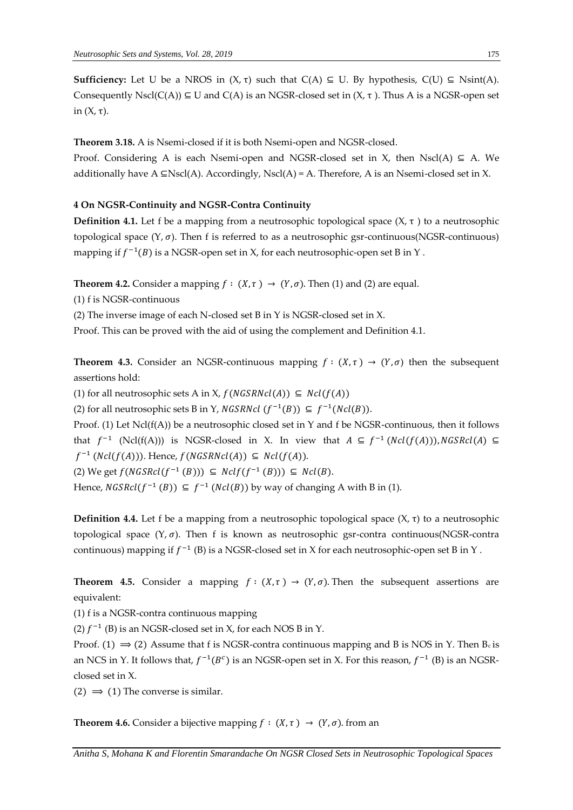**Sufficiency:** Let U be a NROS in  $(X, \tau)$  such that  $C(A) \subseteq U$ . By hypothesis,  $C(U) \subseteq N\text{sint}(A)$ . Consequently Nscl(C(A))  $\subseteq$  U and C(A) is an NGSR-closed set in (X, τ). Thus A is a NGSR-open set in (X, τ).

**Theorem 3.18.** A is Nsemi-closed if it is both Nsemi-open and NGSR-closed.

Proof. Considering A is each Nsemi-open and NGSR-closed set in X, then Nscl(A) ⊆ A. We additionally have A  $\subseteq$ Nscl(A). Accordingly, Nscl(A) = A. Therefore, A is an Nsemi-closed set in X.

# **4 On NGSR-Continuity and NGSR-Contra Continuity**

**Definition 4.1.** Let f be a mapping from a neutrosophic topological space  $(X, \tau)$  to a neutrosophic topological space  $(Y, \sigma)$ . Then f is referred to as a neutrosophic gsr-continuous(NGSR-continuous) mapping if  $f^{-1}(B)$  is a NGSR-open set in X, for each neutrosophic-open set B in Y .

**Theorem 4.2.** Consider a mapping  $f : (X, \tau) \rightarrow (Y, \sigma)$ . Then (1) and (2) are equal.

(1) f is NGSR-continuous

(2) The inverse image of each N-closed set B in Y is NGSR-closed set in X.

Proof. This can be proved with the aid of using the complement and Definition 4.1.

**Theorem 4.3.** Consider an NGSR-continuous mapping  $f : (X, \tau) \rightarrow (Y, \sigma)$  then the subsequent assertions hold:

(1) for all neutrosophic sets A in X,  $f(NGSRNcl(A)) \subseteq Ncl(f(A))$ 

(2) for all neutrosophic sets B in Y, *NGSRNcl*  $(f^{-1}(B)) \subseteq f^{-1}(Ncl(B)).$ 

Proof. (1) Let Ncl(f(A)) be a neutrosophic closed set in Y and f be NGSR-continuous, then it follows that  $f^{-1}$  (Ncl(f(A))) is NGSR-closed in X. In view that  $A \subseteq f^{-1}(Ncl(f(A))), NGSRcl(A) \subseteq$  $f^{-1}(Ncl(f(A)))$ . Hence,  $f(NGSRNcl(A))$  ⊆  $Ncl(f(A))$ . (2) We get  $f(NGSRel(f^{-1}(B)))$  ⊆  $Ncl(f^{-1}(B)))$  ⊆  $Ncl(B)$ .

Hence,  $NGSRcl(f^{-1}(B)) \subseteq f^{-1}(Ncl(B))$  by way of changing A with B in (1).

**Definition 4.4.** Let f be a mapping from a neutrosophic topological space  $(X, \tau)$  to a neutrosophic topological space  $(Y, \sigma)$ . Then f is known as neutrosophic gsr-contra continuous(NGSR-contra continuous) mapping if  $f^{-1}$  (B) is a NGSR-closed set in X for each neutrosophic-open set B in Y.

**Theorem 4.5.** Consider a mapping  $f : (X, \tau) \to (Y, \sigma)$ . Then the subsequent assertions are equivalent:

(1) f is a NGSR-contra continuous mapping

(2)  $f^{-1}$  (B) is an NGSR-closed set in X, for each NOS B in Y.

Proof. (1)  $\Rightarrow$  (2) Assume that f is NGSR-contra continuous mapping and B is NOS in Y. Then Bc is an NCS in Y. It follows that,  $f^{-1}(B^c)$  is an NGSR-open set in X. For this reason,  $f^{-1}$  (B) is an NGSRclosed set in X.

(2)  $\Rightarrow$  (1) The converse is similar.

**Theorem 4.6.** Consider a bijective mapping  $f : (X, \tau) \rightarrow (Y, \sigma)$ . from an

*Anitha S, Mohana K and Florentin Smarandache On NGSR Closed Sets in Neutrosophic Topological Spaces*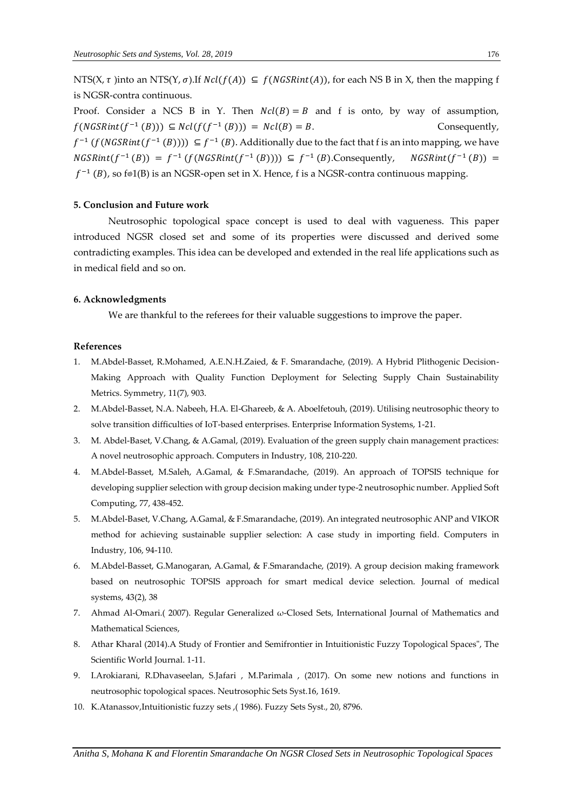NTS(X,  $\tau$ )into an NTS(Y,  $\sigma$ ).If  $Ncl(f(A)) \subseteq f(NGSRint(A))$ , for each NS B in X, then the mapping f is NGSR-contra continuous.

Proof. Consider a NCS B in Y. Then  $Ncl(B) = B$  and f is onto, by way of assumption,  $f(NGSRint(f^{-1}(B))) \subseteq Ncl(f(f^{-1}(B))) = Ncl(B) = B.$  Consequently,  $f^{-1}(f(NGSRint(f^{-1}(B)))) \subseteq f^{-1}(B)$ . Additionally due to the fact that f is an into mapping, we have *NGSRint*(*f*<sup>-1</sup>(*B*)) = *f*<sup>-1</sup>(*f*(*NGSRint*(*f*<sup>-1</sup>(*B*)))) ⊆ *f*<sup>-1</sup>(*B*).Consequently, NGSRint(*f*<sup>-1</sup>(*B*)) =  $f^{-1}(B)$ , so f®1(B) is an NGSR-open set in X. Hence, f is a NGSR-contra continuous mapping.

### **5. Conclusion and Future work**

Neutrosophic topological space concept is used to deal with vagueness. This paper introduced NGSR closed set and some of its properties were discussed and derived some contradicting examples. This idea can be developed and extended in the real life applications such as in medical field and so on.

### **6. Acknowledgments**

We are thankful to the referees for their valuable suggestions to improve the paper.

#### **References**

- 1. M.Abdel-Basset, R.Mohamed, A.E.N.H.Zaied, & F. Smarandache, (2019). A Hybrid Plithogenic Decision-Making Approach with Quality Function Deployment for Selecting Supply Chain Sustainability Metrics. Symmetry, 11(7), 903.
- 2. M.Abdel-Basset, N.A. Nabeeh, H.A. El-Ghareeb, & A. Aboelfetouh, (2019). Utilising neutrosophic theory to solve transition difficulties of IoT-based enterprises. Enterprise Information Systems, 1-21.
- 3. M. Abdel-Baset, V.Chang, & A.Gamal, (2019). Evaluation of the green supply chain management practices: A novel neutrosophic approach. Computers in Industry, 108, 210-220.
- 4. M.Abdel-Basset, M.Saleh, A.Gamal, & F.Smarandache, (2019). An approach of TOPSIS technique for developing supplier selection with group decision making under type-2 neutrosophic number. Applied Soft Computing, 77, 438-452.
- 5. M.Abdel-Baset, V.Chang, A.Gamal, & F.Smarandache, (2019). An integrated neutrosophic ANP and VIKOR method for achieving sustainable supplier selection: A case study in importing field. Computers in Industry, 106, 94-110.
- 6. M.Abdel-Basset, G.Manogaran, A.Gamal, & F.Smarandache, (2019). A group decision making framework based on neutrosophic TOPSIS approach for smart medical device selection. Journal of medical systems, 43(2), 38
- 7. Ahmad Al-Omari.( 2007). Regular Generalized ω-Closed Sets, International Journal of Mathematics and Mathematical Sciences,
- 8. Athar Kharal (2014).A Study of Frontier and Semifrontier in Intuitionistic Fuzzy Topological Spaces", The Scientific World Journal. 1-11.
- 9. I.Arokiarani, R.Dhavaseelan, S.Jafari , M.Parimala , (2017). On some new notions and functions in neutrosophic topological spaces. Neutrosophic Sets Syst.16, 1619.
- 10. K.Atanassov,Intuitionistic fuzzy sets ,( 1986). Fuzzy Sets Syst., 20, 8796.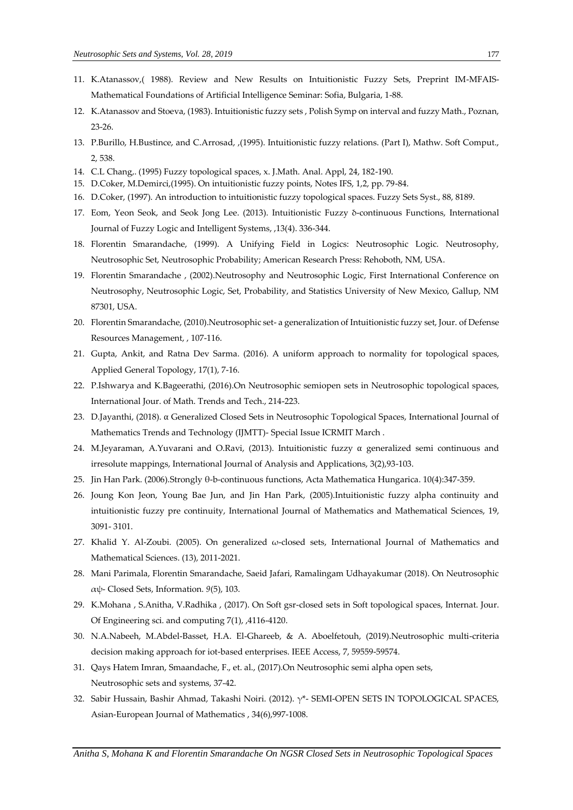- 11. K.Atanassov,( 1988). Review and New Results on Intuitionistic Fuzzy Sets, Preprint IM-MFAIS-Mathematical Foundations of Artificial Intelligence Seminar: Sofia, Bulgaria, 1-88.
- 12. K.Atanassov and Stoeva, (1983). Intuitionistic fuzzy sets , Polish Symp on interval and fuzzy Math., Poznan, 23-26.
- 13. P.Burillo, H.Bustince, and C.Arrosad, ,(1995). Intuitionistic fuzzy relations. (Part I), Mathw. Soft Comput., 2, 538.
- 14. C.L Chang,. (1995) Fuzzy topological spaces, x. J.Math. Anal. Appl, 24, 182-190.
- 15. D.Coker, M.Demirci,(1995). On intuitionistic fuzzy points, Notes IFS, 1,2, pp. 79-84.
- 16. D.Coker, (1997). An introduction to intuitionistic fuzzy topological spaces. Fuzzy Sets Syst., 88, 8189.
- 17. Eom, Yeon Seok, and Seok Jong Lee. (2013). Intuitionistic Fuzzy δ-continuous Functions, International Journal of Fuzzy Logic and Intelligent Systems, ,13(4). 336-344.
- 18. Florentin Smarandache, (1999). A Unifying Field in Logics: Neutrosophic Logic. Neutrosophy, Neutrosophic Set, Neutrosophic Probability; American Research Press: Rehoboth, NM, USA.
- 19. Florentin Smarandache , (2002).Neutrosophy and Neutrosophic Logic, First International Conference on Neutrosophy, Neutrosophic Logic, Set, Probability, and Statistics University of New Mexico, Gallup, NM 87301, USA.
- 20. Florentin Smarandache, (2010).Neutrosophic set- a generalization of Intuitionistic fuzzy set, Jour. of Defense Resources Management, , 107-116.
- 21. Gupta, Ankit, and Ratna Dev Sarma. (2016). A uniform approach to normality for topological spaces, Applied General Topology, 17(1), 7-16.
- 22. P.Ishwarya and K.Bageerathi, (2016).On Neutrosophic semiopen sets in Neutrosophic topological spaces, International Jour. of Math. Trends and Tech., 214-223.
- 23. D.Jayanthi, (2018). α Generalized Closed Sets in Neutrosophic Topological Spaces, International Journal of Mathematics Trends and Technology (IJMTT)- Special Issue ICRMIT March .
- 24. M.Jeyaraman, A.Yuvarani and O.Ravi, (2013). Intuitionistic fuzzy α generalized semi continuous and irresolute mappings, International Journal of Analysis and Applications, 3(2),93-103.
- 25. Jin Han Park. (2006).Strongly θ-b-continuous functions, Acta Mathematica Hungarica. 10(4):347-359.
- 26. Joung Kon Jeon, Young Bae Jun, and Jin Han Park, (2005).Intuitionistic fuzzy alpha continuity and intuitionistic fuzzy pre continuity, International Journal of Mathematics and Mathematical Sciences, 19, 3091- 3101.
- 27. Khalid Y. Al-Zoubi. (2005). On generalized  $\omega$ -closed sets, International Journal of Mathematics and Mathematical Sciences. (13), 2011-2021.
- 28. Mani Parimala, Florentin Smarandache, Saeid Jafari, Ramalingam Udhayakumar (2018). On Neutrosophic αψ- Closed Sets, Information. *9*(5), 103.
- 29. K.Mohana , S.Anitha, V.Radhika , (2017). On Soft gsr-closed sets in Soft topological spaces, Internat. Jour. Of Engineering sci. and computing 7(1), ,4116-4120.
- 30. N.A.Nabeeh, M.Abdel-Basset, H.A. El-Ghareeb, & A. Aboelfetouh, (2019).Neutrosophic multi-criteria decision making approach for iot-based enterprises. IEEE Access, 7, 59559-59574.
- 31. Qays Hatem Imran, Smaandache, F., et. al., (2017).On Neutrosophic semi alpha open sets, Neutrosophic sets and systems, 37-42.
- 32. Sabir Hussain, Bashir Ahmad, Takashi Noiri. (2012). γ\*- SEMI-OPEN SETS IN TOPOLOGICAL SPACES, Asian-European Journal of Mathematics , 34(6),997-1008.